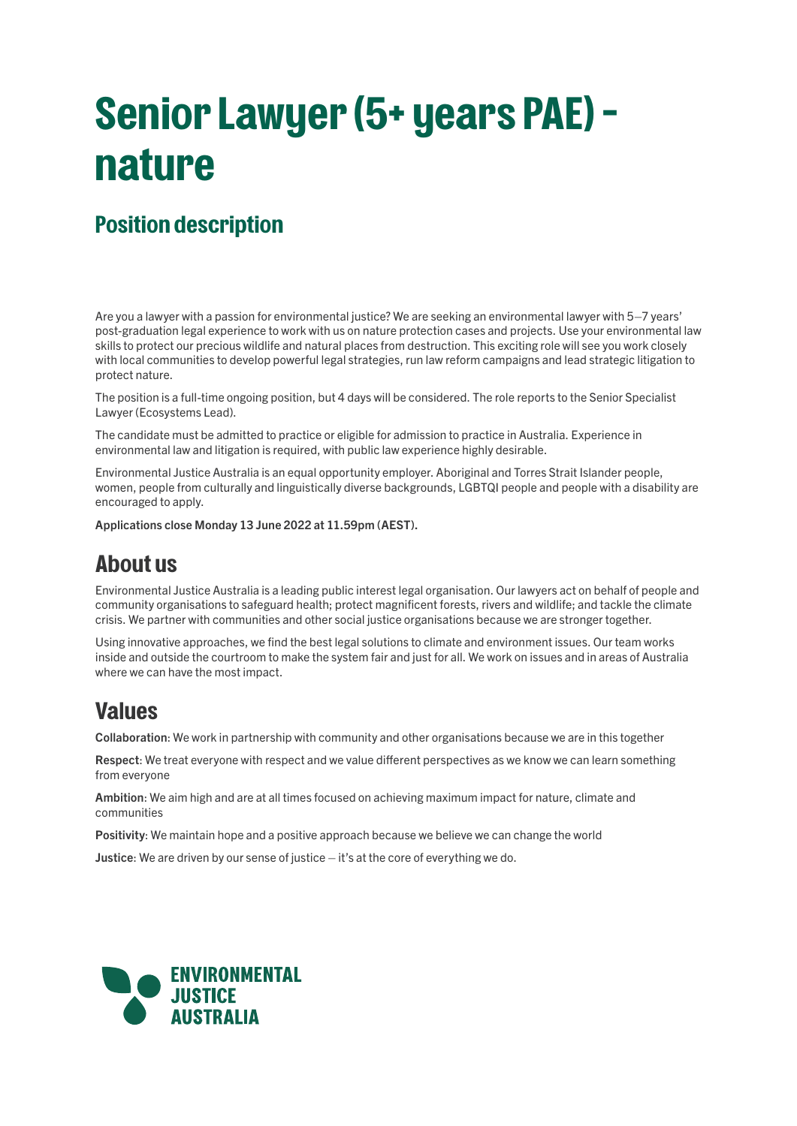# **Senior Lawyer (5+ years PAE) – nature**

# **Position description**

Are you a lawyer with a passion for environmental justice? We are seeking an environmental lawyer with 5–7 years' post-graduation legal experience to work with us on nature protection cases and projects. Use your environmental law skills to protect our precious wildlife and natural places from destruction. This exciting role will see you work closely with local communities to develop powerful legal strategies, run law reform campaigns and lead strategic litigation to protect nature.

The position is a full-time ongoing position, but 4 days will be considered. The role reports to the Senior Specialist Lawyer (Ecosystems Lead).

The candidate must be admitted to practice or eligible for admission to practice in Australia. Experience in environmental law and litigation is required, with public law experience highly desirable.

Environmental Justice Australia is an equal opportunity employer. Aboriginal and Torres Strait Islander people, women, people from culturally and linguistically diverse backgrounds, LGBTQI people and people with a disability are encouraged to apply.

Applications close Monday 13 June 2022 at 11.59pm (AEST).

### **About us**

Environmental Justice Australia is a leading public interest legal organisation. Our lawyers act on behalf of people and community organisations to safeguard health; protect magnificent forests, rivers and wildlife; and tackle the climate crisis. We partner with communities and other social justice organisations because we are stronger together.

Using innovative approaches, we find the best legal solutions to climate and environment issues. Our team works inside and outside the courtroom to make the system fair and just for all. We work on issues and in areas of Australia where we can have the most impact.

## **Values**

Collaboration: We work in partnership with community and other organisations because we are in this together

Respect: We treat everyone with respect and we value different perspectives as we know we can learn something from everyone

Ambition: We aim high and are at all times focused on achieving maximum impact for nature, climate and communities

Positivity: We maintain hope and a positive approach because we believe we can change the world

Justice: We are driven by our sense of justice – it's at the core of everything we do.

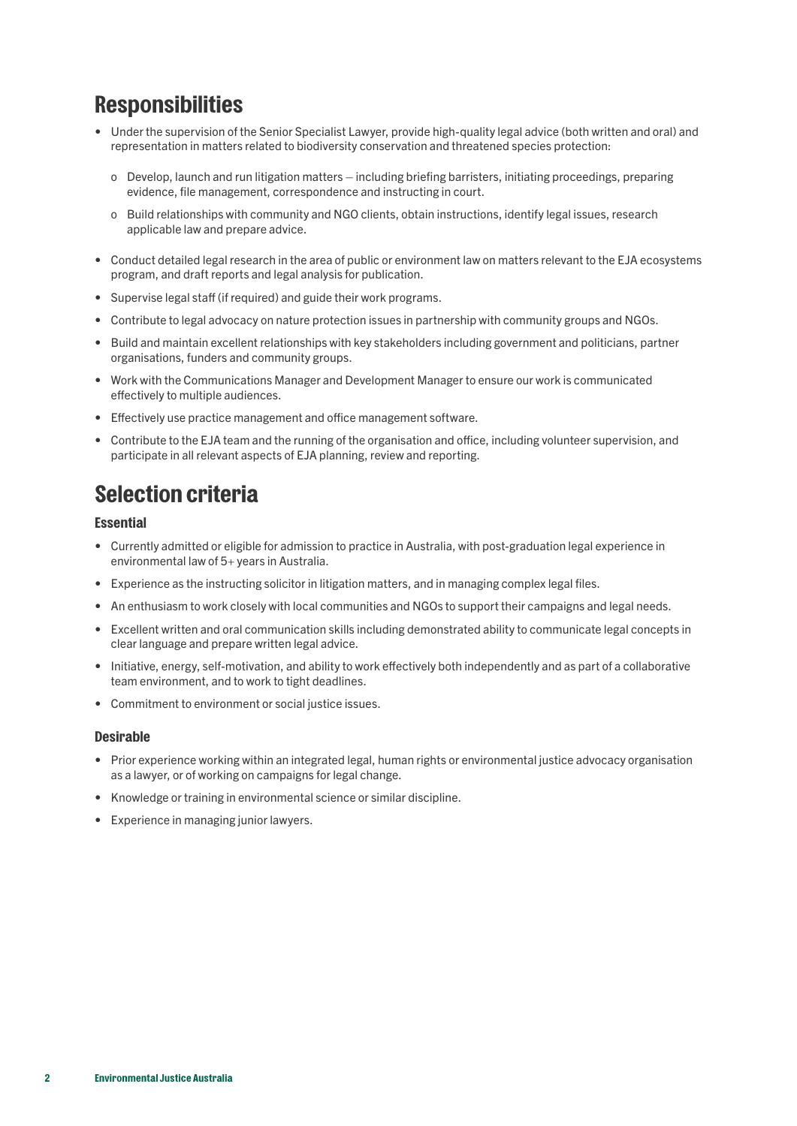# **Responsibilities**

- Under the supervision of the Senior Specialist Lawyer, provide high-quality legal advice (both written and oral) and representation in matters related to biodiversity conservation and threatened species protection:
	- o Develop, launch and run litigation matters including briefing barristers, initiating proceedings, preparing evidence, file management, correspondence and instructing in court.
	- o Build relationships with community and NGO clients, obtain instructions, identify legal issues, research applicable law and prepare advice.
- Conduct detailed legal research in the area of public or environment law on matters relevant to the EJA ecosystems program, and draft reports and legal analysis for publication.
- Supervise legal staff (if required) and guide their work programs.
- Contribute to legal advocacy on nature protection issues in partnership with community groups and NGOs.
- Build and maintain excellent relationships with key stakeholders including government and politicians, partner organisations, funders and community groups.
- Work with the Communications Manager and Development Manager to ensure our work is communicated effectively to multiple audiences.
- Effectively use practice management and office management software.
- Contribute to the EJA team and the running of the organisation and office, including volunteer supervision, and participate in all relevant aspects of EJA planning, review and reporting.

# **Selection criteria**

#### **Essential**

- Currently admitted or eligible for admission to practice in Australia, with post-graduation legal experience in environmental law of 5+ years in Australia.
- Experience as the instructing solicitor in litigation matters, and in managing complex legal files.
- An enthusiasm to work closely with local communities and NGOs to support their campaigns and legal needs.
- Excellent written and oral communication skills including demonstrated ability to communicate legal concepts in clear language and prepare written legal advice.
- Initiative, energy, self-motivation, and ability to work effectively both independently and as part of a collaborative team environment, and to work to tight deadlines.
- Commitment to environment or social justice issues.

#### **Desirable**

- Prior experience working within an integrated legal, human rights or environmental justice advocacy organisation as a lawyer, or of working on campaigns for legal change.
- Knowledge or training in environmental science or similar discipline.
- Experience in managing junior lawyers.